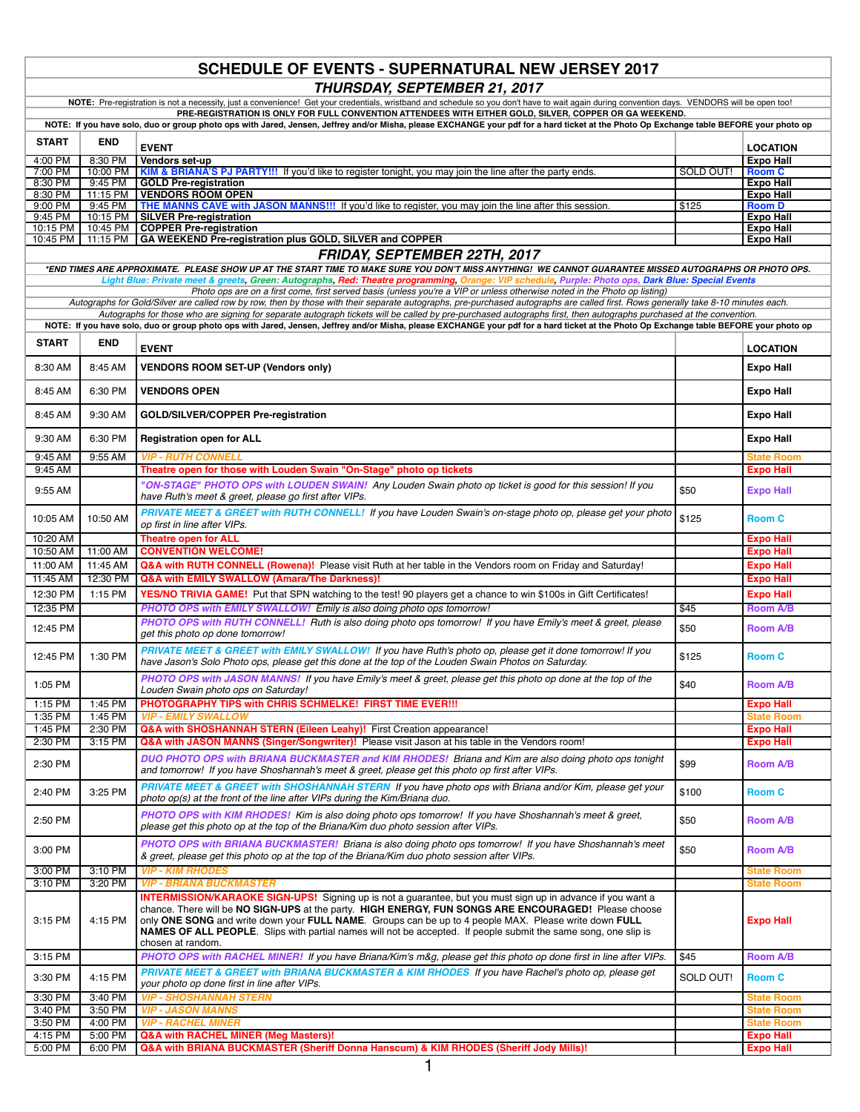## **SCHEDULE OF EVENTS - SUPERNATURAL NEW JERSEY 2017** *THURSDAY, SEPTEMBER 21, 2017*

|                                                                                                                                                                                         |                      | NOTE: Pre-registration is not a necessity, just a convenience! Get your credentials, wristband and schedule so you don't have to wait again during convention days. VENDORS will be open too!<br>PRE-REGISTRATION IS ONLY FOR FULL CONVENTION ATTENDEES WITH EITHER GOLD, SILVER, COPPER OR GA WEEKEND.                                                 |           |                                      |
|-----------------------------------------------------------------------------------------------------------------------------------------------------------------------------------------|----------------------|---------------------------------------------------------------------------------------------------------------------------------------------------------------------------------------------------------------------------------------------------------------------------------------------------------------------------------------------------------|-----------|--------------------------------------|
| NOTE: If you have solo, duo or group photo ops with Jared, Jensen, Jeffrey and/or Misha, please EXCHANGE your pdf for a hard ticket at the Photo Op Exchange table BEFORE your photo op |                      |                                                                                                                                                                                                                                                                                                                                                         |           |                                      |
| <b>START</b>                                                                                                                                                                            | <b>END</b>           |                                                                                                                                                                                                                                                                                                                                                         |           |                                      |
|                                                                                                                                                                                         |                      | <b>EVENT</b>                                                                                                                                                                                                                                                                                                                                            |           | <b>LOCATION</b>                      |
| 4:00 PM<br>7:00 PM                                                                                                                                                                      | 8:30 PM<br>10:00 PM  | Vendors set-up                                                                                                                                                                                                                                                                                                                                          | SOLD OUT! | <b>Expo Hall</b><br><b>Room C</b>    |
| 8:30 PM                                                                                                                                                                                 | 9:45 PM              | KIM & BRIANA'S PJ PARTY!!! If you'd like to register tonight, you may join the line after the party ends.<br><b>GOLD Pre-registration</b>                                                                                                                                                                                                               |           | <b>Expo Hall</b>                     |
| 8:30 PM                                                                                                                                                                                 | 11:15 PM             | <b>VENDORS ROOM OPEN</b>                                                                                                                                                                                                                                                                                                                                |           | <b>Expo Hall</b>                     |
| 9:00 PM                                                                                                                                                                                 | 9:45 PM              | THE MANNS CAVE with JASON MANNS!!! If you'd like to register, you may join the line after this session.                                                                                                                                                                                                                                                 | \$125     | <b>Room D</b>                        |
| 9:45 PM<br>10:15 PM                                                                                                                                                                     | 10:15 PM<br>10:45 PM | <b>SILVER Pre-registration</b><br><b>COPPER Pre-registration</b>                                                                                                                                                                                                                                                                                        |           | <b>Expo Hall</b>                     |
| 10:45 PM                                                                                                                                                                                | 11:15 PM             | GA WEEKEND Pre-registration plus GOLD, SILVER and COPPER                                                                                                                                                                                                                                                                                                |           | Expo Hall<br><b>Expo Hall</b>        |
|                                                                                                                                                                                         |                      | FRIDAY, SEPTEMBER 22TH, 2017                                                                                                                                                                                                                                                                                                                            |           |                                      |
|                                                                                                                                                                                         |                      | *END TIMES ARE APPROXIMATE. PLEASE SHOW UP AT THE START TIME TO MAKE SURE YOU DON'T MISS ANYTHING! WE CANNOT GUARANTEE MISSED AUTOGRAPHS OR PHOTO OPS.                                                                                                                                                                                                  |           |                                      |
|                                                                                                                                                                                         |                      | Light Blue: Private meet & greets, Green: Autographs, Red: Theatre programming, Orange: VIP schedule, Purple: Photo ops, Dark Blue: Special Events                                                                                                                                                                                                      |           |                                      |
|                                                                                                                                                                                         |                      | Photo ops are on a first come, first served basis (unless you're a VIP or unless otherwise noted in the Photo op listing)                                                                                                                                                                                                                               |           |                                      |
|                                                                                                                                                                                         |                      | Autographs for Gold/Silver are called row by row, then by those with their separate autographs, pre-purchased autographs are called first. Rows generally take 8-10 minutes each.<br>Autographs for those who are signing for separate autograph tickets will be called by pre-purchased autographs first, then autographs purchased at the convention. |           |                                      |
|                                                                                                                                                                                         |                      | NOTE: If you have solo, duo or group photo ops with Jared, Jensen, Jeffrey and/or Misha, please EXCHANGE your pdf for a hard ticket at the Photo Op Exchange table BEFORE your photo op                                                                                                                                                                 |           |                                      |
| <b>START</b>                                                                                                                                                                            | <b>END</b>           |                                                                                                                                                                                                                                                                                                                                                         |           |                                      |
|                                                                                                                                                                                         |                      | <b>EVENT</b>                                                                                                                                                                                                                                                                                                                                            |           | <b>LOCATION</b>                      |
| 8:30 AM                                                                                                                                                                                 | 8:45 AM              | <b>VENDORS ROOM SET-UP (Vendors only)</b>                                                                                                                                                                                                                                                                                                               |           | <b>Expo Hall</b>                     |
| 8:45 AM                                                                                                                                                                                 | 6:30 PM              | <b>VENDORS OPEN</b>                                                                                                                                                                                                                                                                                                                                     |           | <b>Expo Hall</b>                     |
| 8:45 AM                                                                                                                                                                                 | 9:30 AM              | GOLD/SILVER/COPPER Pre-registration                                                                                                                                                                                                                                                                                                                     |           | <b>Expo Hall</b>                     |
| 9:30 AM                                                                                                                                                                                 | 6:30 PM              | <b>Registration open for ALL</b>                                                                                                                                                                                                                                                                                                                        |           | Expo Hall                            |
| 9:45 AM                                                                                                                                                                                 | 9:55 AM              | <b>VIP - RUTH CONNELL</b>                                                                                                                                                                                                                                                                                                                               |           | <b>State Room</b>                    |
| 9:45 AM                                                                                                                                                                                 |                      | Theatre open for those with Louden Swain "On-Stage" photo op tickets                                                                                                                                                                                                                                                                                    |           | <b>Expo Hall</b>                     |
|                                                                                                                                                                                         |                      | "ON-STAGE" PHOTO OPS with LOUDEN SWAIN! Any Louden Swain photo op ticket is good for this session! If you                                                                                                                                                                                                                                               |           |                                      |
| 9:55 AM                                                                                                                                                                                 |                      | have Ruth's meet & greet, please go first after VIPs.                                                                                                                                                                                                                                                                                                   | \$50      | <b>Expo Hall</b>                     |
| 10:05 AM                                                                                                                                                                                | 10:50 AM             | PRIVATE MEET & GREET with RUTH CONNELL! If you have Louden Swain's on-stage photo op, please get your photo                                                                                                                                                                                                                                             | \$125     | <b>Room C</b>                        |
|                                                                                                                                                                                         |                      | op first in line after VIPs.                                                                                                                                                                                                                                                                                                                            |           |                                      |
| 10:20 AM<br>10:50 AM                                                                                                                                                                    | 11:00 AM             | <b>Theatre open for ALL</b><br><b>CONVENTION WELCOME!</b>                                                                                                                                                                                                                                                                                               |           | <b>Expo Hall</b><br><b>Expo Hall</b> |
| 11:00 AM                                                                                                                                                                                | 11:45 AM             | Q&A with RUTH CONNELL (Rowena)! Please visit Ruth at her table in the Vendors room on Friday and Saturday!                                                                                                                                                                                                                                              |           | <b>Expo Hall</b>                     |
| 11:45 AM                                                                                                                                                                                | 12:30 PM             | Q&A with EMILY SWALLOW (Amara/The Darkness)!                                                                                                                                                                                                                                                                                                            |           | <b>Expo Hall</b>                     |
| 12:30 PM                                                                                                                                                                                | 1:15 PM              | <b>YES/NO TRIVIA GAME!</b> Put that SPN watching to the test! 90 players get a chance to win \$100s in Gift Certificates!                                                                                                                                                                                                                               |           | <b>Expo Hall</b>                     |
| 12:35 PM                                                                                                                                                                                |                      | PHOTO OPS with EMILY SWALLOW! Emily is also doing photo ops tomorrow!                                                                                                                                                                                                                                                                                   | \$45      | <b>Room A/B</b>                      |
|                                                                                                                                                                                         |                      | PHOTO OPS with RUTH CONNELL! Ruth is also doing photo ops tomorrow! If you have Emily's meet & greet, please                                                                                                                                                                                                                                            |           |                                      |
| 12:45 PM                                                                                                                                                                                |                      | get this photo op done tomorrow!                                                                                                                                                                                                                                                                                                                        | \$50      | <b>Room A/B</b>                      |
| 12:45 PM                                                                                                                                                                                | 1:30 PM              | PRIVATE MEET & GREET with EMILY SWALLOW! If you have Ruth's photo op, please get it done tomorrow! If you<br>have Jason's Solo Photo ops, please get this done at the top of the Louden Swain Photos on Saturday.                                                                                                                                       | \$125     | <b>Room C</b>                        |
|                                                                                                                                                                                         |                      |                                                                                                                                                                                                                                                                                                                                                         |           |                                      |
| 1:05 PM                                                                                                                                                                                 |                      | PHOTO OPS with JASON MANNS! If you have Emily's meet & greet, please get this photo op done at the top of the<br>Louden Swain photo ops on Saturday!                                                                                                                                                                                                    | \$40      | <b>Room A/B</b>                      |
| 1:15 PM                                                                                                                                                                                 | 1:45 PM              | PHOTOGRAPHY TIPS with CHRIS SCHMELKE! FIRST TIME EVER !!!                                                                                                                                                                                                                                                                                               |           | <b>Expo Hall</b>                     |
| 1:35 PM                                                                                                                                                                                 | 1:45 PM              | VIP - EMILY SWALLOW                                                                                                                                                                                                                                                                                                                                     |           | <b>State Room</b>                    |
| 1:45 PM                                                                                                                                                                                 | 2:30 PM              | Q&A With SHOSHANNAH STERN (Elleen Leany)! First Creation appearance!                                                                                                                                                                                                                                                                                    |           | <b>Expo на</b> н                     |
| 2:30 PM                                                                                                                                                                                 | 3:15 PM              | <b>Q&amp;A with JASON MANNS (Singer/Songwriter)!</b> Please visit Jason at his table in the Vendors room!                                                                                                                                                                                                                                               |           | <b>Expo Hall</b>                     |
| 2:30 PM                                                                                                                                                                                 |                      | DUO PHOTO OPS with BRIANA BUCKMASTER and KIM RHODES! Briana and Kim are also doing photo ops tonight                                                                                                                                                                                                                                                    | \$99      | <b>Room A/B</b>                      |
|                                                                                                                                                                                         |                      | and tomorrow! If you have Shoshannah's meet & greet, please get this photo op first after VIPs.<br>PRIVATE MEET & GREET with SHOSHANNAH STERN If you have photo ops with Briana and/or Kim, please get your                                                                                                                                             |           |                                      |
| 2:40 PM                                                                                                                                                                                 | 3:25 PM              | photo op(s) at the front of the line after VIPs during the Kim/Briana duo.                                                                                                                                                                                                                                                                              | \$100     | <b>Room C</b>                        |
| 2:50 PM                                                                                                                                                                                 |                      | PHOTO OPS with KIM RHODES! Kim is also doing photo ops tomorrow! If you have Shoshannah's meet & greet,<br>please get this photo op at the top of the Briana/Kim duo photo session after VIPs.                                                                                                                                                          | \$50      | Room A/B                             |
|                                                                                                                                                                                         |                      | PHOTO OPS with BRIANA BUCKMASTER! Briana is also doing photo ops tomorrow! If you have Shoshannah's meet                                                                                                                                                                                                                                                |           |                                      |
| 3:00 PM                                                                                                                                                                                 |                      | & greet, please get this photo op at the top of the Briana/Kim duo photo session after VIPs.                                                                                                                                                                                                                                                            | \$50      | <b>Room A/B</b>                      |
| 3:00 PM<br>3:10 P <sub>M</sub>                                                                                                                                                          | 3:10 PM<br>3:20 PM   | <b>VIP - KIM RHODES</b><br><b>VIP - BRIANA BUCKMASTER</b>                                                                                                                                                                                                                                                                                               |           | State Room<br>State Room             |
|                                                                                                                                                                                         |                      | INTERMISSION/KARAOKE SIGN-UPS! Signing up is not a guarantee, but you must sign up in advance if you want a                                                                                                                                                                                                                                             |           |                                      |
|                                                                                                                                                                                         |                      | chance. There will be NO SIGN-UPS at the party. HIGH ENERGY, FUN SONGS ARE ENCOURAGED! Please choose                                                                                                                                                                                                                                                    |           |                                      |
| 3:15 PM                                                                                                                                                                                 | 4:15 PM              | only ONE SONG and write down your FULL NAME. Groups can be up to 4 people MAX. Please write down FULL                                                                                                                                                                                                                                                   |           | <b>Expo Hall</b>                     |
|                                                                                                                                                                                         |                      | <b>NAMES OF ALL PEOPLE</b> . Slips with partial names will not be accepted. If people submit the same song, one slip is                                                                                                                                                                                                                                 |           |                                      |
|                                                                                                                                                                                         |                      | chosen at random.                                                                                                                                                                                                                                                                                                                                       | \$45      | <b>Room A/B</b>                      |
| 3:15 PM                                                                                                                                                                                 |                      | PHOTO OPS with RACHEL MINER! If you have Briana/Kim's m&g, please get this photo op done first in line after VIPs.                                                                                                                                                                                                                                      |           |                                      |
| 3:30 PM                                                                                                                                                                                 | 4:15 PM              | PRIVATE MEET & GREET with BRIANA BUCKMASTER & KIM RHODES If you have Rachel's photo op, please get<br>your photo op done first in line after VIPs.                                                                                                                                                                                                      | SOLD OUT! | <b>Room C</b>                        |
| 3:30 PM                                                                                                                                                                                 | 3:40 PM              | <b>VIP - SHOSHANNAH STERN</b>                                                                                                                                                                                                                                                                                                                           |           | <b>State Room</b>                    |
| 3:40 PM                                                                                                                                                                                 | 3:50 PM              | <b>VIP - JASON MANNS</b>                                                                                                                                                                                                                                                                                                                                |           | <b>State Room</b>                    |
| 3:50 PM                                                                                                                                                                                 | 4:00 PM              | <b>VIP - RACHEL MINER</b>                                                                                                                                                                                                                                                                                                                               |           | <b>State Room</b>                    |
| 4:15 PM                                                                                                                                                                                 | 5:00 PM              | <b>Q&amp;A with RACHEL MINER (Meg Masters)!</b>                                                                                                                                                                                                                                                                                                         |           | <b>Expo Hall</b>                     |
| 5:00 PM                                                                                                                                                                                 | 6:00 PM              | <b>Q&amp;A with BRIANA BUCKMASTER (Sheriff Donna Hanscum) &amp; KIM RHODES (Sheriff Jody Mills)!</b>                                                                                                                                                                                                                                                    |           | <b>Expo Hall</b>                     |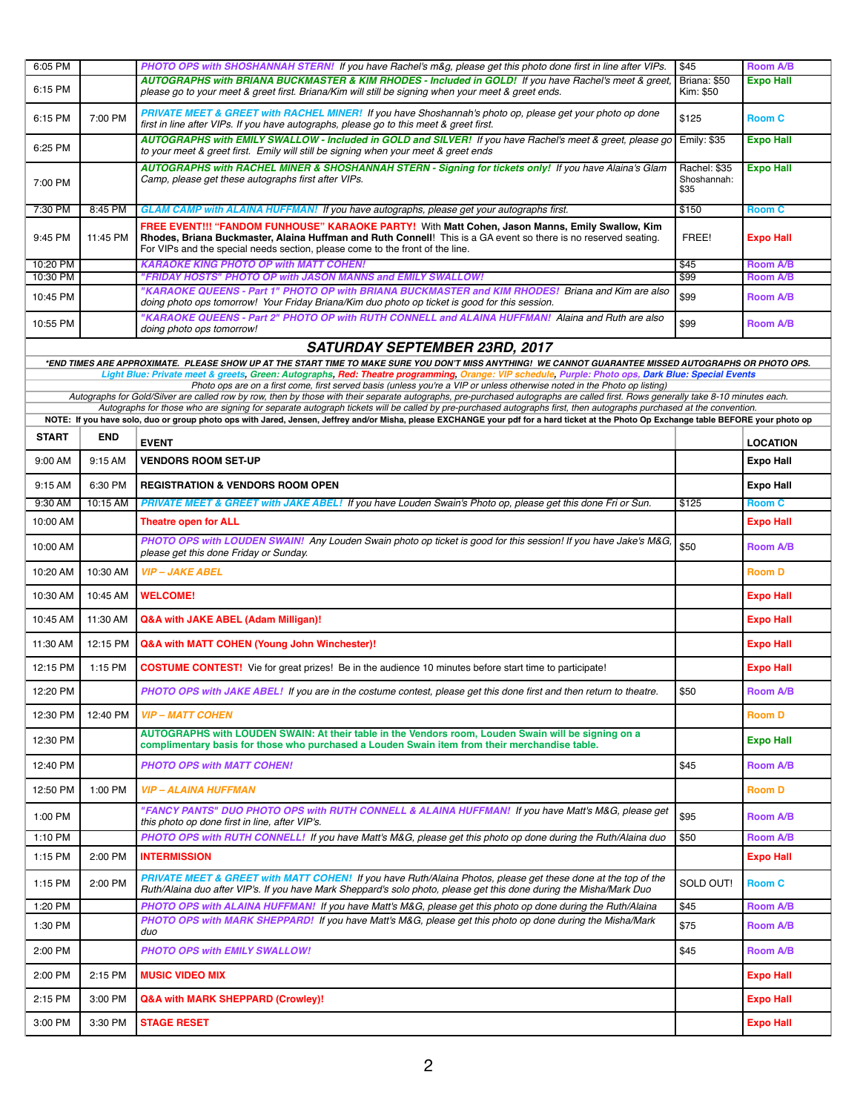| 6:05 PM      |            | PHOTO OPS with SHOSHANNAH STERN! If you have Rachel's m&g, please get this photo done first in line after VIPs.                                                                                                                                                                                                                                               | \$45                                | <b>Room A/B</b>  |
|--------------|------------|---------------------------------------------------------------------------------------------------------------------------------------------------------------------------------------------------------------------------------------------------------------------------------------------------------------------------------------------------------------|-------------------------------------|------------------|
| 6:15 PM      |            | AUTOGRAPHS with BRIANA BUCKMASTER & KIM RHODES - Included in GOLD! If you have Rachel's meet & greet,<br>please go to your meet & greet first. Briana/Kim will still be signing when your meet & greet ends.                                                                                                                                                  | Briana: \$50<br>Kim: \$50           | <b>Expo Hall</b> |
| 6:15 PM      | 7:00 PM    | PRIVATE MEET & GREET with RACHEL MINER! If you have Shoshannah's photo op, please get your photo op done<br>first in line after VIPs. If you have autographs, please go to this meet & greet first.                                                                                                                                                           | \$125                               | <b>Room C</b>    |
| 6:25 PM      |            | AUTOGRAPHS with EMILY SWALLOW - Included in GOLD and SILVER! If you have Rachel's meet & greet, please go<br>to your meet & greet first. Emily will still be signing when your meet & greet ends                                                                                                                                                              | <b>Emily: \$35</b>                  | <b>Expo Hall</b> |
| 7:00 PM      |            | AUTOGRAPHS with RACHEL MINER & SHOSHANNAH STERN - Signing for tickets only! If you have Alaina's Glam<br>Camp, please get these autographs first after VIPs.                                                                                                                                                                                                  | Rachel: \$35<br>Shoshannah:<br>\$35 | <b>Expo Hall</b> |
| 7:30 PM      | 8:45 PM    | GLAM CAMP with ALAINA HUFFMAN! If you have autographs, please get your autographs first.                                                                                                                                                                                                                                                                      | \$150                               | <b>Room C</b>    |
| 9:45 PM      | 11:45 PM   | FREE EVENT!!! "FANDOM FUNHOUSE" KARAOKE PARTY! With Matt Cohen, Jason Manns, Emily Swallow, Kim<br>Rhodes, Briana Buckmaster, Alaina Huffman and Ruth Connell! This is a GA event so there is no reserved seating.<br>For VIPs and the special needs section, please come to the front of the line.                                                           | FREE!                               | <b>Expo Hall</b> |
| 10:20 PM     |            | <b>KARAOKE KING PHOTO OP with MATT COHEN!</b>                                                                                                                                                                                                                                                                                                                 | \$45                                | <b>Room A/B</b>  |
| 10:30 PM     |            | "FRIDAY HOSTS" PHOTO OP with JASON MANNS and EMILY SWALLOW!<br>"KARAOKE QUEENS - Part 1" PHOTO OP with BRIANA BUCKMASTER and KIM RHODES! Briana and Kim are also                                                                                                                                                                                              | \$99                                | <b>Room A/B</b>  |
| 10:45 PM     |            | doing photo ops tomorrow! Your Friday Briana/Kim duo photo op ticket is good for this session.<br>"KARAOKE QUEENS - Part 2" PHOTO OP with RUTH CONNELL and ALAINA HUFFMAN! Alaina and Ruth are also                                                                                                                                                           | \$99                                | <b>Room A/B</b>  |
| 10:55 PM     |            | doing photo ops tomorrow!                                                                                                                                                                                                                                                                                                                                     | \$99                                | <b>Room A/B</b>  |
|              |            | <b>SATURDAY SEPTEMBER 23RD, 2017</b>                                                                                                                                                                                                                                                                                                                          |                                     |                  |
|              |            | *END TIMES ARE APPROXIMATE. PLEASE SHOW UP AT THE START TIME TO MAKE SURE YOU DON'T MISS ANYTHING! WE CANNOT GUARANTEE MISSED AUTOGRAPHS OR PHOTO OPS.                                                                                                                                                                                                        |                                     |                  |
|              |            | Light Blue: Private meet & greets, Green: Autographs, Red: Theatre programming, Orange: VIP schedule, Purple: Photo ops, Dark Blue: Special Events<br>Photo ops are on a first come, first served basis (unless you're a VIP or unless otherwise noted in the Photo op listing)                                                                               |                                     |                  |
|              |            | Autographs for Gold/Silver are called row by row, then by those with their separate autographs, pre-purchased autographs are called first. Rows generally take 8-10 minutes each.                                                                                                                                                                             |                                     |                  |
|              |            | Autographs for those who are signing for separate autograph tickets will be called by pre-purchased autographs first, then autographs purchased at the convention.<br>NOTE: If you have solo, duo or group photo ops with Jared, Jensen, Jeffrey and/or Misha, please EXCHANGE your pdf for a hard ticket at the Photo Op Exchange table BEFORE your photo op |                                     |                  |
| <b>START</b> | <b>END</b> | <b>EVENT</b>                                                                                                                                                                                                                                                                                                                                                  |                                     | <b>LOCATION</b>  |
| 9:00 AM      | 9:15 AM    | <b>VENDORS ROOM SET-UP</b>                                                                                                                                                                                                                                                                                                                                    |                                     | <b>Expo Hall</b> |
| 9:15 AM      | 6:30 PM    | <b>REGISTRATION &amp; VENDORS ROOM OPEN</b>                                                                                                                                                                                                                                                                                                                   |                                     | <b>Expo Hall</b> |
| 9:30 AM      | 10:15 AM   | PRIVATE MEET & GREET with JAKE ABEL! If you have Louden Swain's Photo op, please get this done Fri or Sun.                                                                                                                                                                                                                                                    | \$125                               | <b>Room C</b>    |
| 10:00 AM     |            | <b>Theatre open for ALL</b>                                                                                                                                                                                                                                                                                                                                   |                                     | <b>Expo Hall</b> |
| 10:00 AM     |            | PHOTO OPS with LOUDEN SWAIN! Any Louden Swain photo op ticket is good for this session! If you have Jake's M&G,<br>please get this done Friday or Sunday.                                                                                                                                                                                                     | \$50                                | <b>Room A/B</b>  |
| 10:20 AM     | 10:30 AM   | <b>VIP-JAKE ABEL</b>                                                                                                                                                                                                                                                                                                                                          |                                     | <b>Room D</b>    |
| 10:30 AM     | 10:45 AM   | <b>WELCOME!</b>                                                                                                                                                                                                                                                                                                                                               |                                     | <b>Expo Hall</b> |
| 10:45 AM     | 11:30 AM   | Q&A with JAKE ABEL (Adam Milligan)!                                                                                                                                                                                                                                                                                                                           |                                     | <b>Expo Hall</b> |
| 11:30 AM     | 12:15 PM   | Q&A with MATT COHEN (Young John Winchester)!                                                                                                                                                                                                                                                                                                                  |                                     | <b>Expo Hall</b> |
| 12:15 PM     | 1:15 PM    | <b>COSTUME CONTEST!</b> Vie for great prizes! Be in the audience 10 minutes before start time to participate!                                                                                                                                                                                                                                                 |                                     | <b>Expo Hall</b> |
| 12:20 PM     |            | PHOTO OPS with JAKE ABEL! If you are in the costume contest, please get this done first and then return to theatre.                                                                                                                                                                                                                                           | \$50                                | <b>Room A/B</b>  |
| 12:30 PM     | 12:40 PM   | <b>VIP - MATT COHEN</b>                                                                                                                                                                                                                                                                                                                                       |                                     | <b>Room D</b>    |
| 12:30 PM     |            | AUTOGRAPHS with LOUDEN SWAIN: At their table in the Vendors room, Louden Swain will be signing on a<br>complimentary basis for those who purchased a Louden Swain item from their merchandise table.                                                                                                                                                          |                                     | <b>Expo Hall</b> |
| 12:40 PM     |            | <b>PHOTO OPS with MATT COHEN!</b>                                                                                                                                                                                                                                                                                                                             | \$45                                | <b>Room A/B</b>  |
| 12:50 PM     | 1:00 PM    | <b>VIP - ALAINA HUFFMAN</b>                                                                                                                                                                                                                                                                                                                                   |                                     | <b>Room D</b>    |
| 1:00 PM      |            | "FANCY PANTS" DUO PHOTO OPS with RUTH CONNELL & ALAINA HUFFMAN! If you have Matt's M&G, please get<br>this photo op done first in line, after VIP's.                                                                                                                                                                                                          | \$95                                | <b>Room A/B</b>  |
| 1:10 PM      |            | PHOTO OPS with RUTH CONNELL! If you have Matt's M&G, please get this photo op done during the Ruth/Alaina duo                                                                                                                                                                                                                                                 | \$50                                | <b>Room A/B</b>  |
| 1:15 PM      | 2:00 PM    | <b>INTERMISSION</b>                                                                                                                                                                                                                                                                                                                                           |                                     | <b>Expo Hall</b> |
| 1:15 PM      | 2:00 PM    | PRIVATE MEET & GREET with MATT COHEN! If you have Ruth/Alaina Photos, please get these done at the top of the<br>Ruth/Alaina duo after VIP's. If you have Mark Sheppard's solo photo, please get this done during the Misha/Mark Duo                                                                                                                          | SOLD OUT!                           | <b>Room C</b>    |
| 1:20 PM      |            | PHOTO OPS with ALAINA HUFFMAN! If you have Matt's M&G, please get this photo op done during the Ruth/Alaina                                                                                                                                                                                                                                                   | \$45                                | <b>Room A/B</b>  |
| 1:30 PM      |            | PHOTO OPS with MARK SHEPPARD! If you have Matt's M&G, please get this photo op done during the Misha/Mark<br>duo                                                                                                                                                                                                                                              | \$75                                | <b>Room A/B</b>  |
| 2:00 PM      |            | <b>PHOTO OPS with EMILY SWALLOW!</b>                                                                                                                                                                                                                                                                                                                          | \$45                                | <b>Room A/B</b>  |
| 2:00 PM      | 2:15 PM    | <b>MUSIC VIDEO MIX</b>                                                                                                                                                                                                                                                                                                                                        |                                     | <b>Expo Hall</b> |
| 2:15 PM      | 3:00 PM    | Q&A with MARK SHEPPARD (Crowley)!                                                                                                                                                                                                                                                                                                                             |                                     | <b>Expo Hall</b> |
| 3:00 PM      | 3:30 PM    | <b>STAGE RESET</b>                                                                                                                                                                                                                                                                                                                                            |                                     | <b>Expo Hall</b> |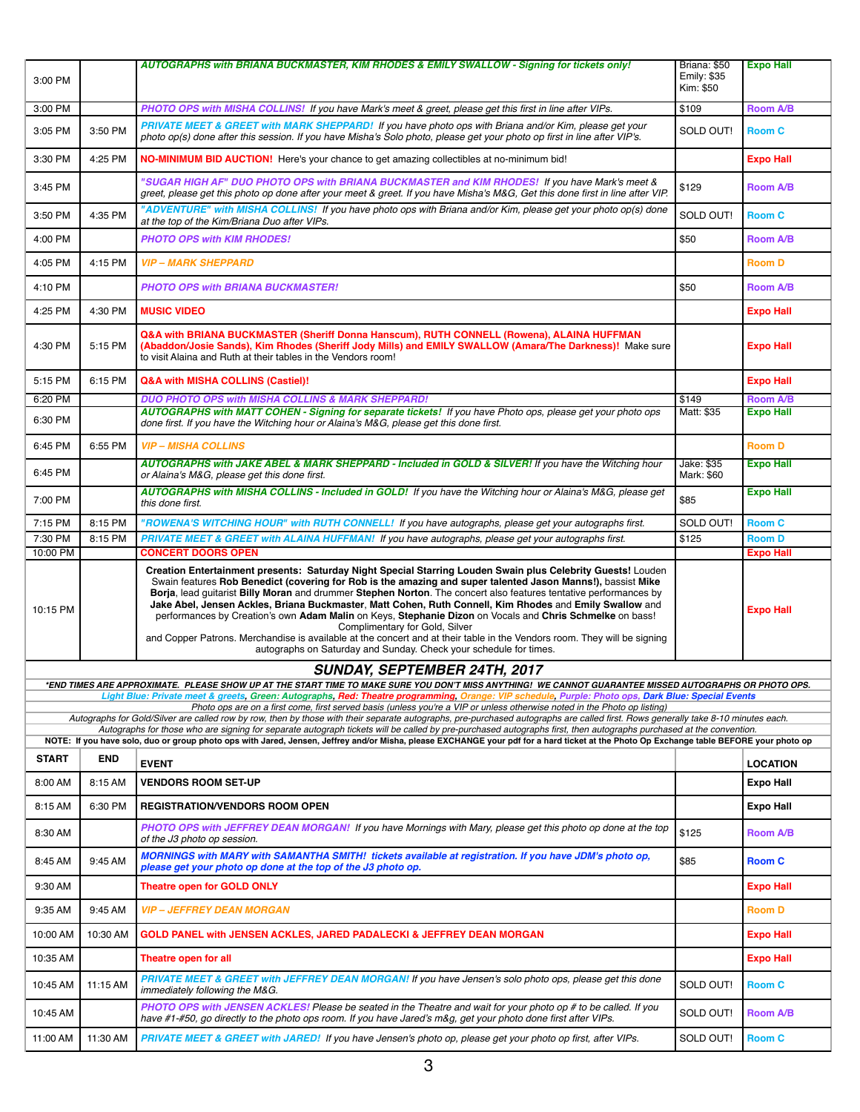|                                     |            | AUTOGRAPHS with BRIANA BUCKMASTER, KIM RHODES & EMILY SWALLOW - Signing for tickets only!                                                                                                                                                                                                                                                                                                                                                                                                                                                                                   | Briana: \$50<br>Emily: \$35 | <b>Expo Hall</b>                    |  |
|-------------------------------------|------------|-----------------------------------------------------------------------------------------------------------------------------------------------------------------------------------------------------------------------------------------------------------------------------------------------------------------------------------------------------------------------------------------------------------------------------------------------------------------------------------------------------------------------------------------------------------------------------|-----------------------------|-------------------------------------|--|
| 3:00 PM                             |            |                                                                                                                                                                                                                                                                                                                                                                                                                                                                                                                                                                             | Kim: \$50                   |                                     |  |
| 3:00 PM                             |            | PHOTO OPS with MISHA COLLINS! If you have Mark's meet & greet, please get this first in line after VIPs.                                                                                                                                                                                                                                                                                                                                                                                                                                                                    | \$109                       | <b>Room A/B</b>                     |  |
| 3:05 PM                             | 3:50 PM    | PRIVATE MEET & GREET with MARK SHEPPARD! If you have photo ops with Briana and/or Kim, please get your<br>photo op(s) done after this session. If you have Misha's Solo photo, please get your photo op first in line after VIP's.                                                                                                                                                                                                                                                                                                                                          | SOLD OUT!                   | <b>Room C</b>                       |  |
| 3:30 PM                             | 4:25 PM    | NO-MINIMUM BID AUCTION! Here's your chance to get amazing collectibles at no-minimum bid!                                                                                                                                                                                                                                                                                                                                                                                                                                                                                   |                             | <b>Expo Hall</b>                    |  |
| 3:45 PM                             |            | "SUGAR HIGH AF" DUO PHOTO OPS with BRIANA BUCKMASTER and KIM RHODES! If you have Mark's meet &<br>greet, please get this photo op done after your meet & greet. If you have Misha's M&G, Get this done first in line after VIP.                                                                                                                                                                                                                                                                                                                                             | \$129                       | <b>Room A/B</b>                     |  |
| 3:50 PM                             | 4:35 PM    | "ADVENTURE" with MISHA COLLINS! If you have photo ops with Briana and/or Kim, please get your photo op(s) done<br>at the top of the Kim/Briana Duo after VIPs.                                                                                                                                                                                                                                                                                                                                                                                                              | SOLD OUT!                   | <b>Room C</b>                       |  |
| 4:00 PM                             |            | <b>PHOTO OPS with KIM RHODES!</b>                                                                                                                                                                                                                                                                                                                                                                                                                                                                                                                                           | \$50                        | <b>Room A/B</b>                     |  |
| 4:05 PM                             | 4:15 PM    | <b>VIP - MARK SHEPPARD</b>                                                                                                                                                                                                                                                                                                                                                                                                                                                                                                                                                  |                             | <b>Room D</b>                       |  |
| 4:10 PM                             |            | <b>PHOTO OPS with BRIANA BUCKMASTER!</b>                                                                                                                                                                                                                                                                                                                                                                                                                                                                                                                                    | \$50                        | <b>Room A/B</b>                     |  |
| 4:25 PM                             | 4:30 PM    | <b>MUSIC VIDEO</b>                                                                                                                                                                                                                                                                                                                                                                                                                                                                                                                                                          |                             | <b>Expo Hall</b>                    |  |
| 4:30 PM                             | 5:15 PM    | Q&A with BRIANA BUCKMASTER (Sheriff Donna Hanscum), RUTH CONNELL (Rowena), ALAINA HUFFMAN<br>(Abaddon/Josie Sands), Kim Rhodes (Sheriff Jody Mills) and EMILY SWALLOW (Amara/The Darkness)! Make sure<br>to visit Alaina and Ruth at their tables in the Vendors room!                                                                                                                                                                                                                                                                                                      |                             | <b>Expo Hall</b>                    |  |
| 5:15 PM                             | 6:15 PM    | Q&A with MISHA COLLINS (Castiel)!                                                                                                                                                                                                                                                                                                                                                                                                                                                                                                                                           |                             | <b>Expo Hall</b>                    |  |
| 6:20 PM<br>6:30 PM                  |            | <b>DUO PHOTO OPS with MISHA COLLINS &amp; MARK SHEPPARD!</b><br>AUTOGRAPHS with MATT COHEN - Signing for separate tickets! If you have Photo ops, please get your photo ops<br>done first. If you have the Witching hour or Alaina's M&G, please get this done first.                                                                                                                                                                                                                                                                                                       | \$149<br>Matt: \$35         | <b>Room A/B</b><br><b>Expo Hall</b> |  |
| 6:45 PM                             | 6:55 PM    | <b>VIP - MISHA COLLINS</b>                                                                                                                                                                                                                                                                                                                                                                                                                                                                                                                                                  |                             | <b>Room D</b>                       |  |
| 6:45 PM                             |            | AUTOGRAPHS with JAKE ABEL & MARK SHEPPARD - Included in GOLD & SILVER! If you have the Witching hour<br>or Alaina's M&G, please get this done first.                                                                                                                                                                                                                                                                                                                                                                                                                        | Jake: \$35<br>Mark: \$60    | <b>Expo Hall</b>                    |  |
| 7:00 PM                             |            | AUTOGRAPHS with MISHA COLLINS - Included in GOLD! If you have the Witching hour or Alaina's M&G, please get<br>this done first.                                                                                                                                                                                                                                                                                                                                                                                                                                             | \$85                        | <b>Expo Hall</b>                    |  |
| 7:15 PM                             | 8:15 PM    | "ROWENA'S WITCHING HOUR" with RUTH CONNELL! If you have autographs, please get your autographs first.                                                                                                                                                                                                                                                                                                                                                                                                                                                                       | SOLD OUT!                   | <b>Room C</b>                       |  |
| 7:30 PM<br>10:00 PM                 | 8:15 PM    | PRIVATE MEET & GREET with ALAINA HUFFMAN! If you have autographs, please get your autographs first.<br><b>CONCERT DOORS OPEN</b>                                                                                                                                                                                                                                                                                                                                                                                                                                            | \$125                       | <b>Room D</b><br><b>Expo Hall</b>   |  |
|                                     |            | Creation Entertainment presents: Saturday Night Special Starring Louden Swain plus Celebrity Guests! Louden<br>Swain features Rob Benedict (covering for Rob is the amazing and super talented Jason Manns!), bassist Mike                                                                                                                                                                                                                                                                                                                                                  |                             |                                     |  |
| 10:15 PM                            |            | Borja, lead guitarist Billy Moran and drummer Stephen Norton. The concert also features tentative performances by<br>Jake Abel, Jensen Ackles, Briana Buckmaster, Matt Cohen, Ruth Connell, Kim Rhodes and Emily Swallow and<br>performances by Creation's own Adam Malin on Keys, Stephanie Dizon on Vocals and Chris Schmelke on bass!<br>Complimentary for Gold, Silver<br>and Copper Patrons. Merchandise is available at the concert and at their table in the Vendors room. They will be signing<br>autographs on Saturday and Sunday. Check your schedule for times. |                             | <b>Expo Hall</b>                    |  |
| <b>SUNDAY, SEPTEMBER 24TH, 2017</b> |            |                                                                                                                                                                                                                                                                                                                                                                                                                                                                                                                                                                             |                             |                                     |  |
|                                     |            | END TIMES ARE APPROXIMATE.  PLEASE SHOW UP AT THE START TIME TO MAKE SURE YOU DON'T MISS ANYTHING!  WE CANNOT GUARANTEE MISSED AUTOGRAPHS OR PHOTO OPS.<br>Light Blue: Private meet & greets, Green: Autographs, Red: Theatre programming, Orange: VIP schedule, Purple: Photo ops, Dark Blue: Special Events                                                                                                                                                                                                                                                               |                             |                                     |  |
|                                     |            | Photo ops are on a first come, first served basis (unless you're a VIP or unless otherwise noted in the Photo op listing)<br>Autographs for Gold/Silver are called row by row, then by those with their separate autographs, pre-purchased autographs are called first. Rows generally take 8-10 minutes each.                                                                                                                                                                                                                                                              |                             |                                     |  |
|                                     |            | Autographs for those who are signing for separate autograph tickets will be called by pre-purchased autographs first, then autographs purchased at the convention.<br>NOTE: If you have solo, duo or group photo ops with Jared, Jensen, Jeffrey and/or Misha, please EXCHANGE your pdf for a hard ticket at the Photo Op Exchange table BEFORE your photo op                                                                                                                                                                                                               |                             |                                     |  |
| <b>START</b>                        | <b>END</b> |                                                                                                                                                                                                                                                                                                                                                                                                                                                                                                                                                                             |                             |                                     |  |
| 8:00 AM                             | 8:15 AM    | <b>EVENT</b><br><b>VENDORS ROOM SET-UP</b>                                                                                                                                                                                                                                                                                                                                                                                                                                                                                                                                  |                             | <b>LOCATION</b><br><b>Expo Hall</b> |  |
| 8:15 AM                             | 6:30 PM    | <b>REGISTRATION/VENDORS ROOM OPEN</b>                                                                                                                                                                                                                                                                                                                                                                                                                                                                                                                                       |                             | Expo Hall                           |  |
| 8:30 AM                             |            | PHOTO OPS with JEFFREY DEAN MORGAN! If you have Mornings with Mary, please get this photo op done at the top                                                                                                                                                                                                                                                                                                                                                                                                                                                                | \$125                       | <b>Room A/B</b>                     |  |
| 8:45 AM                             | 9:45 AM    | of the J3 photo op session.<br>MORNINGS with MARY with SAMANTHA SMITH! tickets available at registration. If you have JDM's photo op,                                                                                                                                                                                                                                                                                                                                                                                                                                       | \$85                        | <b>Room C</b>                       |  |
| 9:30 AM                             |            | please get your photo op done at the top of the J3 photo op.<br><b>Theatre open for GOLD ONLY</b>                                                                                                                                                                                                                                                                                                                                                                                                                                                                           |                             | <b>Expo Hall</b>                    |  |
| 9:35 AM                             | 9:45 AM    | <b>VIP - JEFFREY DEAN MORGAN</b>                                                                                                                                                                                                                                                                                                                                                                                                                                                                                                                                            |                             | <b>Room D</b>                       |  |
| 10:00 AM                            | 10:30 AM   | <b>GOLD PANEL with JENSEN ACKLES, JARED PADALECKI &amp; JEFFREY DEAN MORGAN</b>                                                                                                                                                                                                                                                                                                                                                                                                                                                                                             |                             | <b>Expo Hall</b>                    |  |
| 10:35 AM                            |            | Theatre open for all                                                                                                                                                                                                                                                                                                                                                                                                                                                                                                                                                        |                             | <b>Expo Hall</b>                    |  |
| 10:45 AM                            | 11:15 AM   | PRIVATE MEET & GREET with JEFFREY DEAN MORGAN! If you have Jensen's solo photo ops, please get this done<br>immediately following the M&G.                                                                                                                                                                                                                                                                                                                                                                                                                                  | SOLD OUT!                   | <b>Room C</b>                       |  |
| 10:45 AM                            |            | PHOTO OPS with JENSEN ACKLES! Please be seated in the Theatre and wait for your photo op # to be called. If you                                                                                                                                                                                                                                                                                                                                                                                                                                                             |                             |                                     |  |
|                                     |            | have #1-#50, go directly to the photo ops room. If you have Jared's m&g, get your photo done first after VIPs.                                                                                                                                                                                                                                                                                                                                                                                                                                                              | SOLD OUT!                   | <b>Room A/B</b>                     |  |